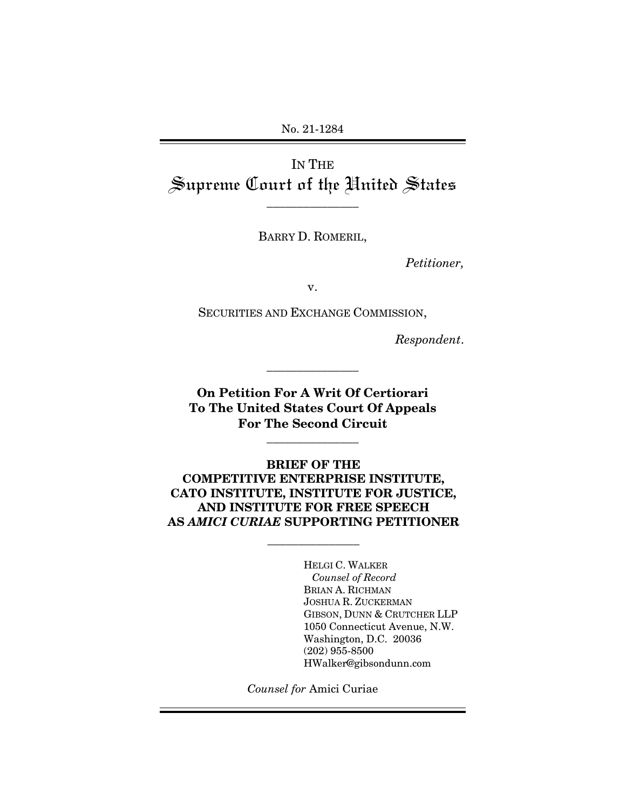No. 21-1284

IN THE Supreme Court of the United States

\_\_\_\_\_\_\_\_\_\_\_\_\_\_\_

BARRY D. ROMERIL,

*Petitioner,* 

v.

SECURITIES AND EXCHANGE COMMISSION,

*Respondent*.

**On Petition For A Writ Of Certiorari To The United States Court Of Appeals For The Second Circuit**

\_\_\_\_\_\_\_\_\_\_\_\_\_\_\_

\_\_\_\_\_\_\_\_\_\_\_\_\_\_\_

**BRIEF OF THE COMPETITIVE ENTERPRISE INSTITUTE, CATO INSTITUTE, INSTITUTE FOR JUSTICE, AND INSTITUTE FOR FREE SPEECH AS** *AMICI CURIAE* **SUPPORTING PETITIONER** 

\_\_\_\_\_\_\_\_\_\_\_\_\_\_\_

HELGI C. WALKER *Counsel of Record* BRIAN A. RICHMAN JOSHUA R. ZUCKERMAN GIBSON, DUNN & CRUTCHER LLP 1050 Connecticut Avenue, N.W. Washington, D.C. 20036 (202) 955-8500 HWalker@gibsondunn.com

*Counsel for* Amici Curiae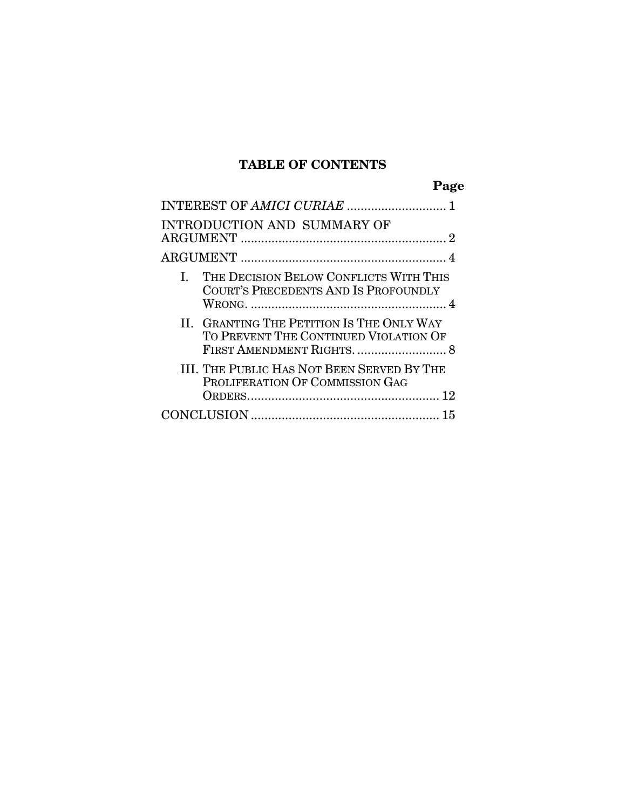# **TABLE OF CONTENTS**

| <b>INTRODUCTION AND SUMMARY OF</b>                                                   |  |
|--------------------------------------------------------------------------------------|--|
|                                                                                      |  |
| THE DECISION BELOW CONFLICTS WITH THIS<br>L.<br>COURT'S PRECEDENTS AND IS PROFOUNDLY |  |
| II. GRANTING THE PETITION IS THE ONLY WAY<br>TO PREVENT THE CONTINUED VIOLATION OF   |  |
| III. THE PUBLIC HAS NOT BEEN SERVED BY THE<br>PROLIFERATION OF COMMISSION GAG        |  |
|                                                                                      |  |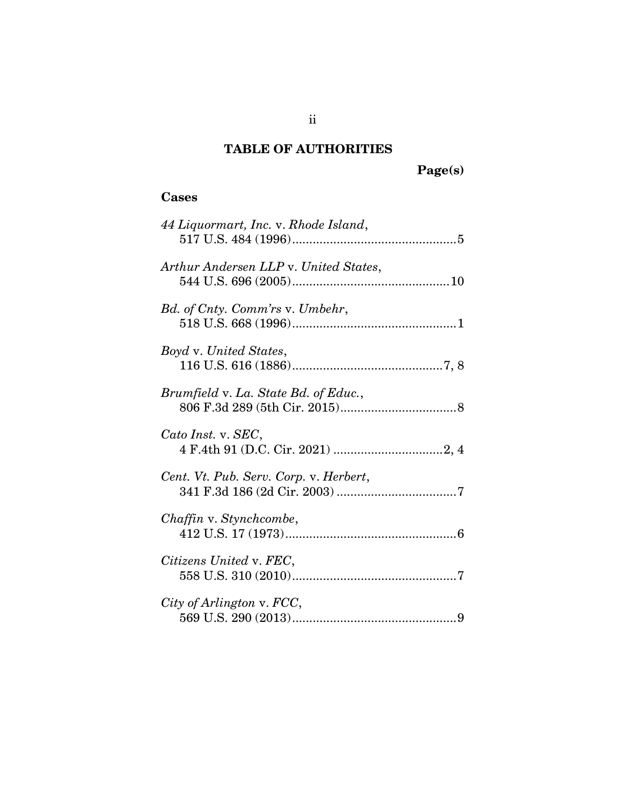# **TABLE OF AUTHORITIES**

# **Page(s)**

### **Cases**

| 44 Liquormart, Inc. v. Rhode Island,   |
|----------------------------------------|
| Arthur Andersen LLP v. United States,  |
| Bd. of Cnty. Comm'rs v. Umbehr,        |
| Boyd v. United States,                 |
| Brumfield v. La. State Bd. of Educ.,   |
| Cato Inst. v. SEC,                     |
| Cent. Vt. Pub. Serv. Corp. v. Herbert, |
| Chaffin v. Stynchcombe,                |
| Citizens United v. FEC,                |
| City of Arlington v. FCC,              |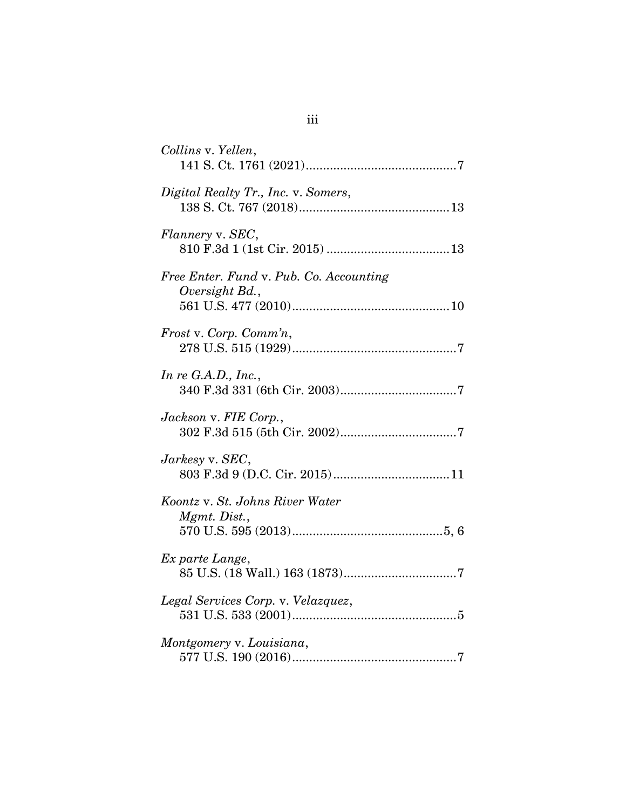| Collins v. Yellen,                                        |
|-----------------------------------------------------------|
| Digital Realty Tr., Inc. v. Somers,                       |
| Flannery v. SEC,                                          |
| Free Enter. Fund v. Pub. Co. Accounting<br>Oversight Bd., |
| Frost v. Corp. Comm'n,                                    |
| In re $G.A.D., Inc.,$                                     |
| Jackson v. FIE Corp.,                                     |
| $Jarkesy$ v. $SEC,$                                       |
| Koontz v. St. Johns River Water<br>Mgmt. Dist.,           |
| Ex parte Lange,                                           |
| Legal Services Corp. v. Velazquez,                        |
| Montgomery v. Louisiana,                                  |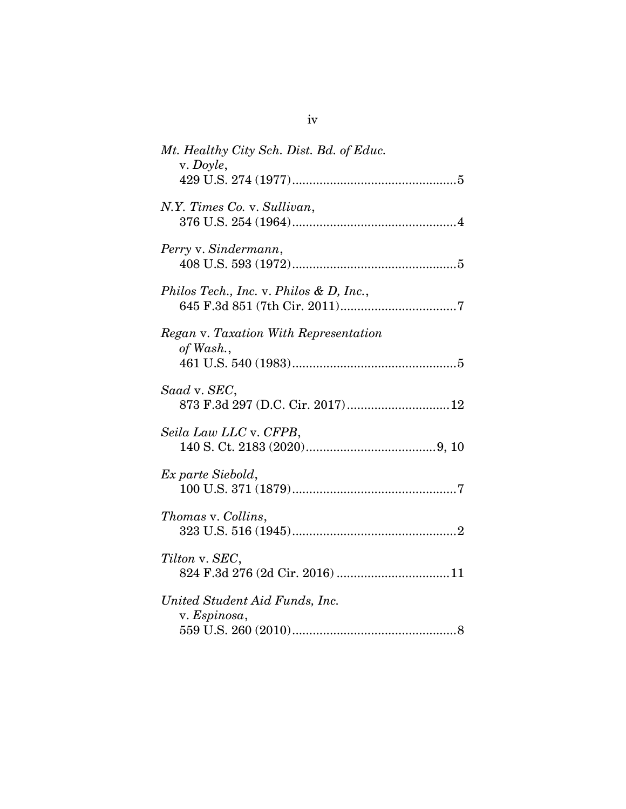| Mt. Healthy City Sch. Dist. Bd. of Educ.<br>v. Doyle, |
|-------------------------------------------------------|
|                                                       |
| N.Y. Times Co. v. Sullivan,                           |
| Perry v. Sindermann,                                  |
| Philos Tech., Inc. v. Philos & D, Inc.,               |
| Regan v. Taxation With Representation<br>of Wash.,    |
| Saad v. SEC,<br>873 F.3d 297 (D.C. Cir. 2017) 12      |
| Seila Law LLC v. CFPB,                                |
| Ex parte Siebold,                                     |
| Thomas v. Collins,                                    |
| Tilton v. SEC,                                        |
| United Student Aid Funds, Inc.<br>v. Espinosa,        |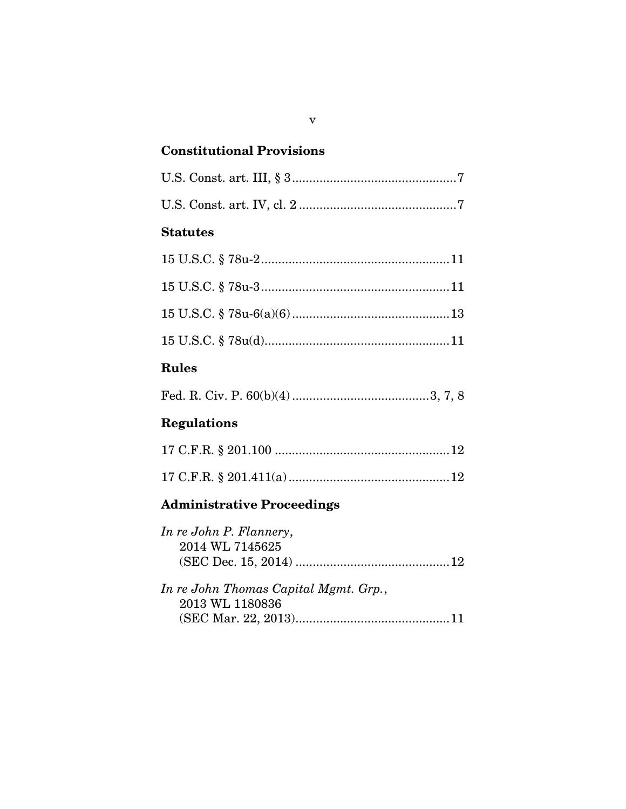## **Constitutional Provisions**

### **Statutes**

# **Rules**

|--|--|--|--|--|--|--|--|--|

# **Regulations**

## **Administrative Proceedings**

| In re John P. Flannery,               |  |
|---------------------------------------|--|
| 2014 WL 7145625                       |  |
|                                       |  |
| In re John Thomas Capital Mgmt. Grp., |  |
| 2013 WL 1180836                       |  |
|                                       |  |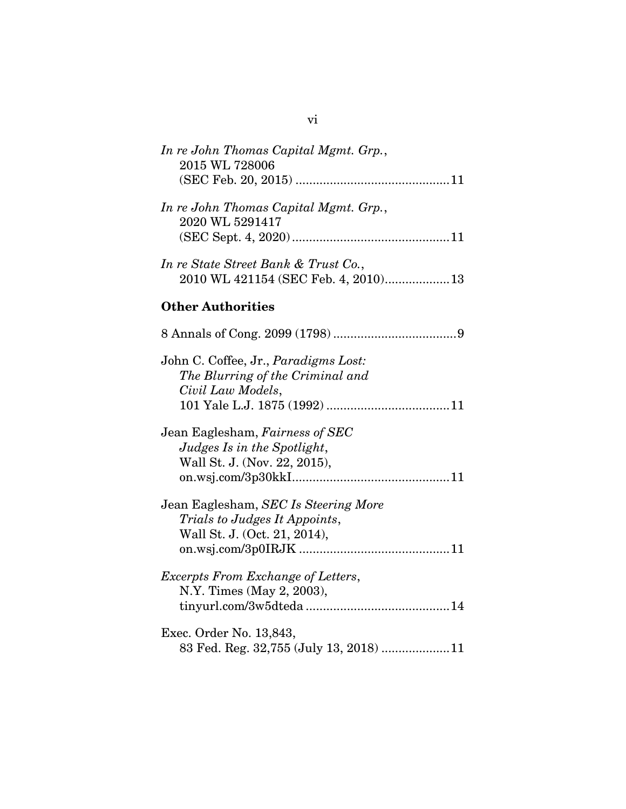| In re John Thomas Capital Mgmt. Grp.,<br>2015 WL 728006                                               |
|-------------------------------------------------------------------------------------------------------|
| In re John Thomas Capital Mgmt. Grp.,<br>2020 WL 5291417                                              |
| In re State Street Bank & Trust Co.,<br>2010 WL 421154 (SEC Feb. 4, 2010)13                           |
| <b>Other Authorities</b>                                                                              |
|                                                                                                       |
| John C. Coffee, Jr., Paradigms Lost:<br>The Blurring of the Criminal and<br>Civil Law Models,         |
| Jean Eaglesham, Fairness of SEC<br>Judges Is in the Spotlight,<br>Wall St. J. (Nov. 22, 2015),        |
| Jean Eaglesham, SEC Is Steering More<br>Trials to Judges It Appoints,<br>Wall St. J. (Oct. 21, 2014), |
| Excerpts From Exchange of Letters,<br>N.Y. Times (May 2, 2003),                                       |
| Exec. Order No. 13,843,<br>83 Fed. Reg. 32,755 (July 13, 2018) 11                                     |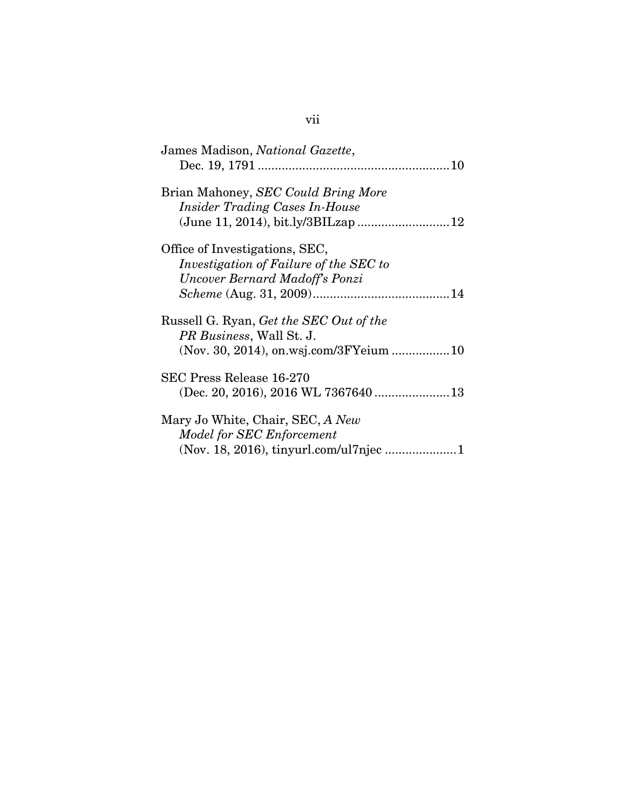| James Madison, National Gazette,               |
|------------------------------------------------|
|                                                |
| Brian Mahoney, SEC Could Bring More            |
| <b>Insider Trading Cases In-House</b>          |
|                                                |
| Office of Investigations, SEC,                 |
| Investigation of Failure of the SEC to         |
| Uncover Bernard Madoff's Ponzi                 |
|                                                |
| Russell G. Ryan, <i>Get the SEC Out of the</i> |
| <i>PR Business, Wall St. J.</i>                |
|                                                |
| SEC Press Release 16-270                       |
|                                                |
| Mary Jo White, Chair, SEC, A New               |
| Model for SEC Enforcement                      |
|                                                |
|                                                |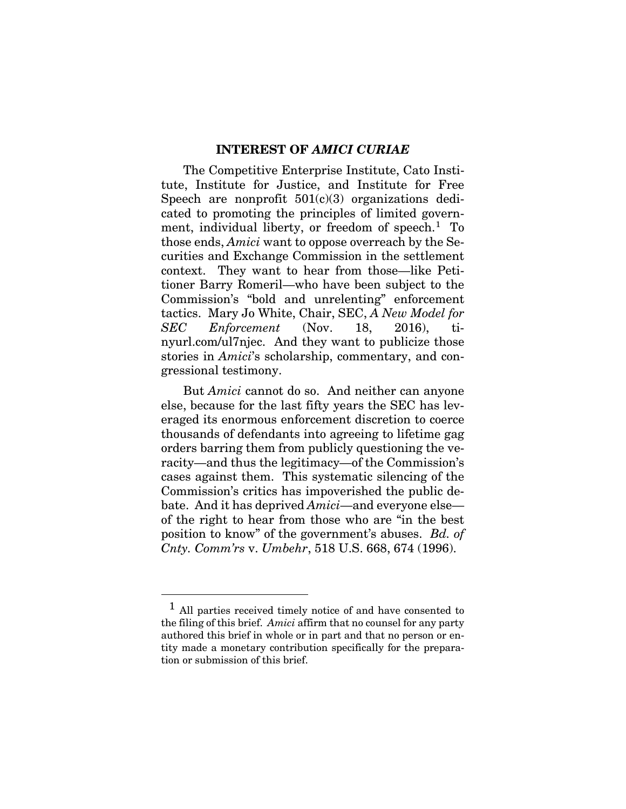#### **INTEREST OF** *AMICI CURIAE*

The Competitive Enterprise Institute, Cato Institute, Institute for Justice, and Institute for Free Speech are nonprofit  $501(c)(3)$  organizations dedicated to promoting the principles of limited government, individual liberty, or freedom of speech.<sup>1</sup> To those ends, *Amici* want to oppose overreach by the Securities and Exchange Commission in the settlement context. They want to hear from those—like Petitioner Barry Romeril—who have been subject to the Commission's "bold and unrelenting" enforcement tactics. Mary Jo White, Chair, SEC, *A New Model for SEC Enforcement* (Nov. 18, 2016), tinyurl.com/ul7njec. And they want to publicize those stories in *Amici*'s scholarship, commentary, and congressional testimony.

But *Amici* cannot do so. And neither can anyone else, because for the last fifty years the SEC has leveraged its enormous enforcement discretion to coerce thousands of defendants into agreeing to lifetime gag orders barring them from publicly questioning the veracity—and thus the legitimacy—of the Commission's cases against them. This systematic silencing of the Commission's critics has impoverished the public debate. And it has deprived *Amici*—and everyone else of the right to hear from those who are "in the best position to know" of the government's abuses. *Bd. of Cnty. Comm'rs* v. *Umbehr*, 518 U.S. 668, 674 (1996).

l

<sup>&</sup>lt;sup>1</sup> All parties received timely notice of and have consented to the filing of this brief. *Amici* affirm that no counsel for any party authored this brief in whole or in part and that no person or entity made a monetary contribution specifically for the preparation or submission of this brief.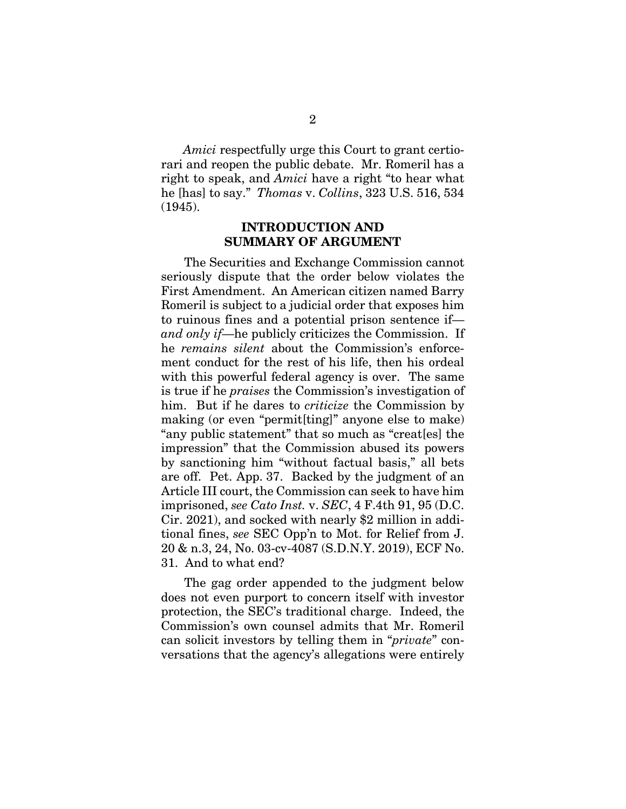*Amici* respectfully urge this Court to grant certiorari and reopen the public debate. Mr. Romeril has a right to speak, and *Amici* have a right "to hear what he [has] to say." *Thomas* v. *Collins*, 323 U.S. 516, 534 (1945).

#### **INTRODUCTION AND SUMMARY OF ARGUMENT**

The Securities and Exchange Commission cannot seriously dispute that the order below violates the First Amendment. An American citizen named Barry Romeril is subject to a judicial order that exposes him to ruinous fines and a potential prison sentence if *and only if*—he publicly criticizes the Commission. If he *remains silent* about the Commission's enforcement conduct for the rest of his life, then his ordeal with this powerful federal agency is over. The same is true if he *praises* the Commission's investigation of him. But if he dares to *criticize* the Commission by making (or even "permit[ting]" anyone else to make) "any public statement" that so much as "creat[es] the impression" that the Commission abused its powers by sanctioning him "without factual basis," all bets are off. Pet. App. 37. Backed by the judgment of an Article III court, the Commission can seek to have him imprisoned, *see Cato Inst.* v. *SEC*, 4 F.4th 91, 95 (D.C. Cir. 2021), and socked with nearly \$2 million in additional fines, *see* SEC Opp'n to Mot. for Relief from J. 20 & n.3, 24, No. 03-cv-4087 (S.D.N.Y. 2019), ECF No. 31. And to what end?

 The gag order appended to the judgment below does not even purport to concern itself with investor protection, the SEC's traditional charge. Indeed, the Commission's own counsel admits that Mr. Romeril can solicit investors by telling them in "*private*" conversations that the agency's allegations were entirely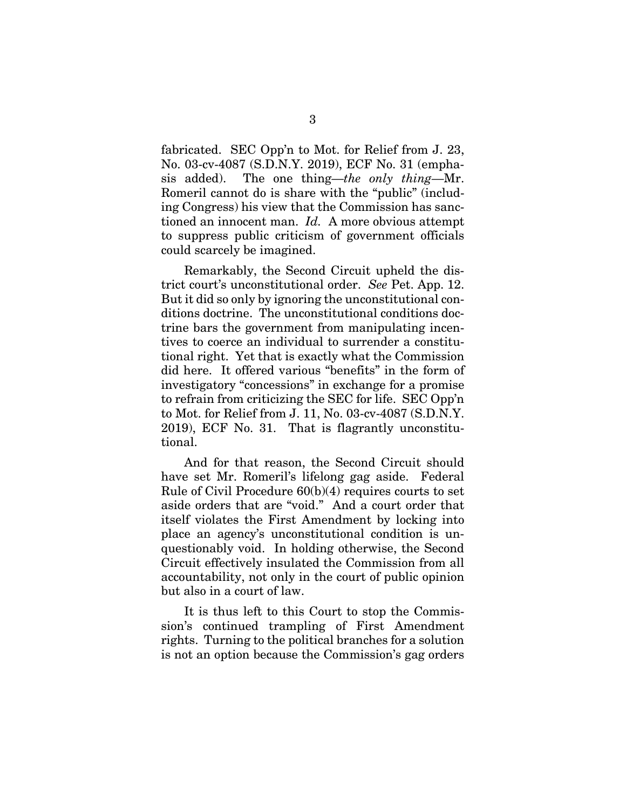fabricated. SEC Opp'n to Mot. for Relief from J. 23, No. 03-cv-4087 (S.D.N.Y. 2019), ECF No. 31 (emphasis added). The one thing—*the only thing*—Mr. Romeril cannot do is share with the "public" (including Congress) his view that the Commission has sanctioned an innocent man. *Id.* A more obvious attempt to suppress public criticism of government officials could scarcely be imagined.

 Remarkably, the Second Circuit upheld the district court's unconstitutional order. *See* Pet. App. 12. But it did so only by ignoring the unconstitutional conditions doctrine. The unconstitutional conditions doctrine bars the government from manipulating incentives to coerce an individual to surrender a constitutional right. Yet that is exactly what the Commission did here. It offered various "benefits" in the form of investigatory "concessions" in exchange for a promise to refrain from criticizing the SEC for life. SEC Opp'n to Mot. for Relief from J. 11, No. 03-cv-4087 (S.D.N.Y. 2019), ECF No. 31. That is flagrantly unconstitutional.

 And for that reason, the Second Circuit should have set Mr. Romeril's lifelong gag aside. Federal Rule of Civil Procedure 60(b)(4) requires courts to set aside orders that are "void." And a court order that itself violates the First Amendment by locking into place an agency's unconstitutional condition is unquestionably void. In holding otherwise, the Second Circuit effectively insulated the Commission from all accountability, not only in the court of public opinion but also in a court of law.

 It is thus left to this Court to stop the Commission's continued trampling of First Amendment rights. Turning to the political branches for a solution is not an option because the Commission's gag orders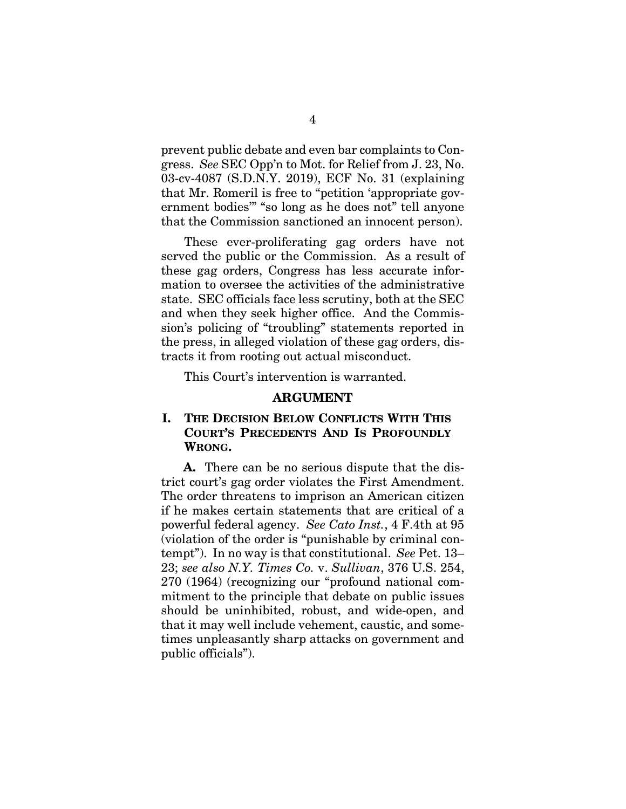prevent public debate and even bar complaints to Congress. *See* SEC Opp'n to Mot. for Relief from J. 23, No. 03-cv-4087 (S.D.N.Y. 2019), ECF No. 31 (explaining that Mr. Romeril is free to "petition 'appropriate government bodies'" "so long as he does not" tell anyone that the Commission sanctioned an innocent person).

 These ever-proliferating gag orders have not served the public or the Commission. As a result of these gag orders, Congress has less accurate information to oversee the activities of the administrative state. SEC officials face less scrutiny, both at the SEC and when they seek higher office. And the Commission's policing of "troubling" statements reported in the press, in alleged violation of these gag orders, distracts it from rooting out actual misconduct.

This Court's intervention is warranted.

#### **ARGUMENT**

#### **I. THE DECISION BELOW CONFLICTS WITH THIS COURT'S PRECEDENTS AND IS PROFOUNDLY WRONG.**

**A.** There can be no serious dispute that the district court's gag order violates the First Amendment. The order threatens to imprison an American citizen if he makes certain statements that are critical of a powerful federal agency. *See Cato Inst.*, 4 F.4th at 95 (violation of the order is "punishable by criminal contempt"). In no way is that constitutional. *See* Pet. 13– 23; *see also N.Y. Times Co.* v. *Sullivan*, 376 U.S. 254, 270 (1964) (recognizing our "profound national commitment to the principle that debate on public issues should be uninhibited, robust, and wide-open, and that it may well include vehement, caustic, and sometimes unpleasantly sharp attacks on government and public officials").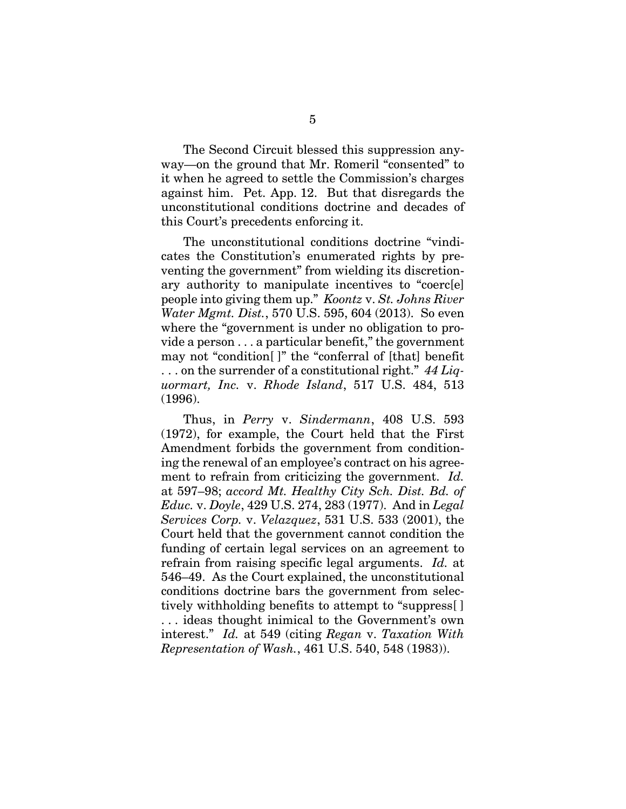The Second Circuit blessed this suppression anyway—on the ground that Mr. Romeril "consented" to it when he agreed to settle the Commission's charges against him. Pet. App. 12. But that disregards the unconstitutional conditions doctrine and decades of this Court's precedents enforcing it.

The unconstitutional conditions doctrine "vindicates the Constitution's enumerated rights by preventing the government" from wielding its discretionary authority to manipulate incentives to "coerc[e] people into giving them up." *Koontz* v. *St. Johns River Water Mgmt. Dist.*, 570 U.S. 595, 604 (2013). So even where the "government is under no obligation to provide a person . . . a particular benefit," the government may not "condition[ ]" the "conferral of [that] benefit . . . on the surrender of a constitutional right." *44 Liquormart, Inc.* v. *Rhode Island*, 517 U.S. 484, 513 (1996).

Thus, in *Perry* v. *Sindermann*, 408 U.S. 593 (1972), for example, the Court held that the First Amendment forbids the government from conditioning the renewal of an employee's contract on his agreement to refrain from criticizing the government. *Id.* at 597–98; *accord Mt. Healthy City Sch. Dist. Bd. of Educ.* v. *Doyle*, 429 U.S. 274, 283 (1977). And in *Legal Services Corp.* v. *Velazquez*, 531 U.S. 533 (2001), the Court held that the government cannot condition the funding of certain legal services on an agreement to refrain from raising specific legal arguments. *Id.* at 546–49. As the Court explained, the unconstitutional conditions doctrine bars the government from selectively withholding benefits to attempt to "suppress[ ] . . . ideas thought inimical to the Government's own interest." *Id.* at 549 (citing *Regan* v. *Taxation With Representation of Wash.*, 461 U.S. 540, 548 (1983)).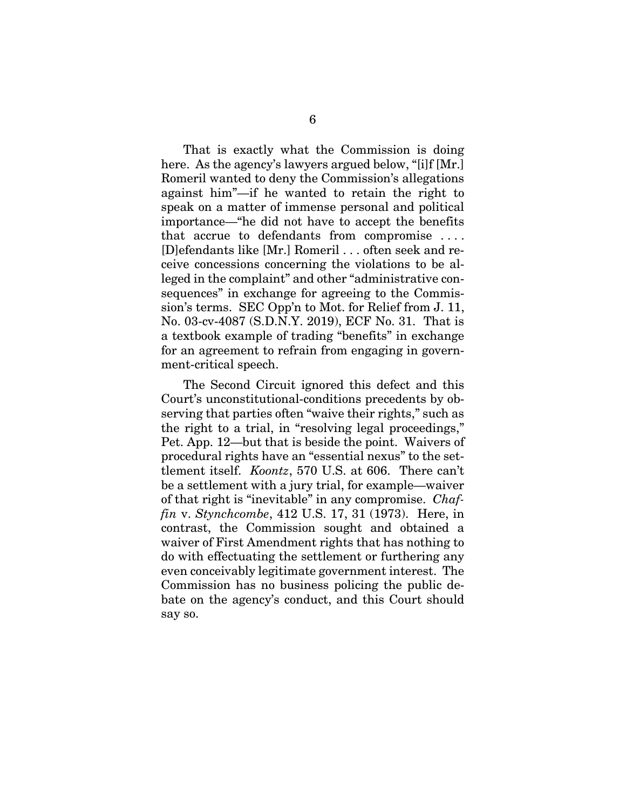That is exactly what the Commission is doing here. As the agency's lawyers argued below, "[i]f [Mr.] Romeril wanted to deny the Commission's allegations against him"—if he wanted to retain the right to speak on a matter of immense personal and political importance—"he did not have to accept the benefits that accrue to defendants from compromise . . . . [D]efendants like [Mr.] Romeril . . . often seek and receive concessions concerning the violations to be alleged in the complaint" and other "administrative consequences" in exchange for agreeing to the Commission's terms. SEC Opp'n to Mot. for Relief from J. 11, No. 03-cv-4087 (S.D.N.Y. 2019), ECF No. 31. That is a textbook example of trading "benefits" in exchange for an agreement to refrain from engaging in government-critical speech.

The Second Circuit ignored this defect and this Court's unconstitutional-conditions precedents by observing that parties often "waive their rights," such as the right to a trial, in "resolving legal proceedings," Pet. App. 12—but that is beside the point. Waivers of procedural rights have an "essential nexus" to the settlement itself. *Koontz*, 570 U.S. at 606. There can't be a settlement with a jury trial, for example—waiver of that right is "inevitable" in any compromise. *Chaffin* v. *Stynchcombe*, 412 U.S. 17, 31 (1973). Here, in contrast, the Commission sought and obtained a waiver of First Amendment rights that has nothing to do with effectuating the settlement or furthering any even conceivably legitimate government interest. The Commission has no business policing the public debate on the agency's conduct, and this Court should say so.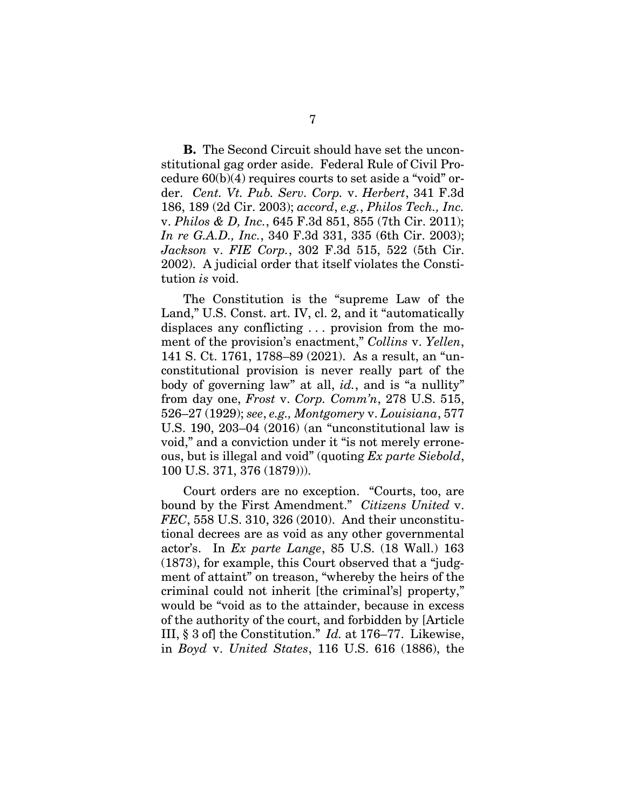**B.** The Second Circuit should have set the unconstitutional gag order aside. Federal Rule of Civil Procedure 60(b)(4) requires courts to set aside a "void" order. *Cent. Vt. Pub. Serv. Corp.* v. *Herbert*, 341 F.3d 186, 189 (2d Cir. 2003); *accord*, *e.g.*, *Philos Tech., Inc.*  v. *Philos & D, Inc.*, 645 F.3d 851, 855 (7th Cir. 2011); *In re G.A.D., Inc.*, 340 F.3d 331, 335 (6th Cir. 2003); *Jackson* v. *FIE Corp.*, 302 F.3d 515, 522 (5th Cir. 2002). A judicial order that itself violates the Constitution *is* void.

The Constitution is the "supreme Law of the Land," U.S. Const. art. IV, cl. 2, and it "automatically displaces any conflicting . . . provision from the moment of the provision's enactment," *Collins* v. *Yellen*, 141 S. Ct. 1761, 1788–89 (2021). As a result, an "unconstitutional provision is never really part of the body of governing law" at all, *id.*, and is "a nullity" from day one, *Frost* v. *Corp. Comm'n*, 278 U.S. 515, 526–27 (1929); *see*, *e.g., Montgomery* v. *Louisiana*, 577 U.S. 190, 203–04 (2016) (an "unconstitutional law is void," and a conviction under it "is not merely erroneous, but is illegal and void" (quoting *Ex parte Siebold*, 100 U.S. 371, 376 (1879))).

Court orders are no exception. "Courts, too, are bound by the First Amendment." *Citizens United* v. *FEC*, 558 U.S. 310, 326 (2010). And their unconstitutional decrees are as void as any other governmental actor's. In *Ex parte Lange*, 85 U.S. (18 Wall.) 163 (1873), for example, this Court observed that a "judgment of attaint" on treason, "whereby the heirs of the criminal could not inherit [the criminal's] property," would be "void as to the attainder, because in excess of the authority of the court, and forbidden by [Article III, § 3 of] the Constitution." *Id.* at 176–77. Likewise, in *Boyd* v. *United States*, 116 U.S. 616 (1886), the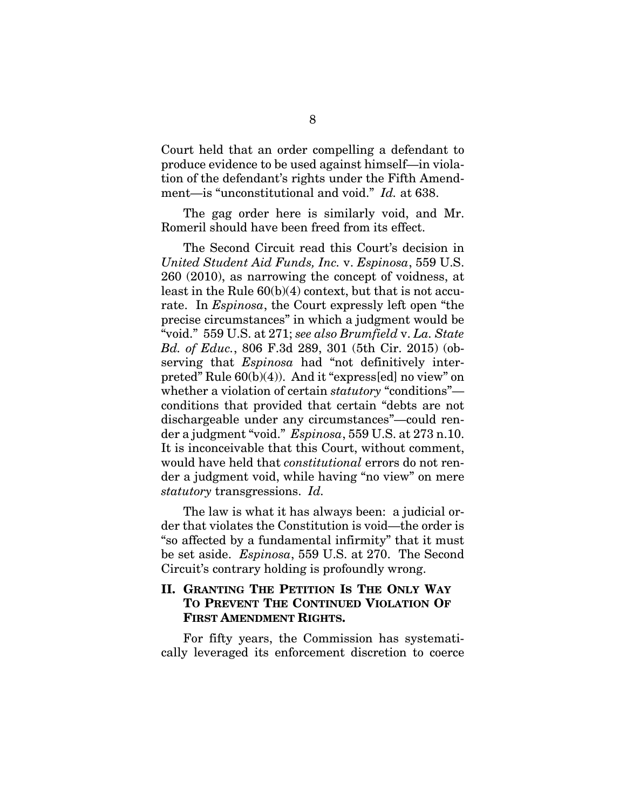Court held that an order compelling a defendant to produce evidence to be used against himself—in violation of the defendant's rights under the Fifth Amendment—is "unconstitutional and void." *Id.* at 638.

The gag order here is similarly void, and Mr. Romeril should have been freed from its effect.

The Second Circuit read this Court's decision in *United Student Aid Funds, Inc.* v. *Espinosa*, 559 U.S. 260 (2010), as narrowing the concept of voidness, at least in the Rule 60(b)(4) context, but that is not accurate. In *Espinosa*, the Court expressly left open "the precise circumstances" in which a judgment would be "void." 559 U.S. at 271; *see also Brumfield* v. *La. State Bd. of Educ.*, 806 F.3d 289, 301 (5th Cir. 2015) (observing that *Espinosa* had "not definitively interpreted" Rule 60(b)(4)). And it "express[ed] no view" on whether a violation of certain *statutory* "conditions" conditions that provided that certain "debts are not dischargeable under any circumstances"—could render a judgment "void." *Espinosa*, 559 U.S. at 273 n.10. It is inconceivable that this Court, without comment, would have held that *constitutional* errors do not render a judgment void, while having "no view" on mere *statutory* transgressions. *Id.*

The law is what it has always been: a judicial order that violates the Constitution is void—the order is "so affected by a fundamental infirmity" that it must be set aside. *Espinosa*, 559 U.S. at 270. The Second Circuit's contrary holding is profoundly wrong.

### **II. GRANTING THE PETITION IS THE ONLY WAY TO PREVENT THE CONTINUED VIOLATION OF FIRST AMENDMENT RIGHTS.**

For fifty years, the Commission has systematically leveraged its enforcement discretion to coerce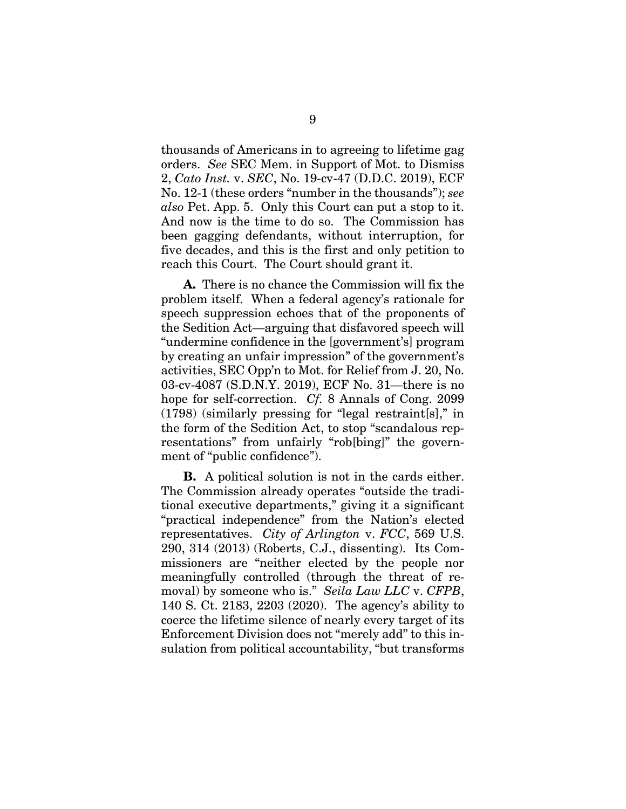thousands of Americans in to agreeing to lifetime gag orders. *See* SEC Mem. in Support of Mot. to Dismiss 2, *Cato Inst.* v. *SEC*, No. 19-cv-47 (D.D.C. 2019), ECF No. 12-1 (these orders "number in the thousands"); *see also* Pet. App. 5. Only this Court can put a stop to it. And now is the time to do so. The Commission has been gagging defendants, without interruption, for five decades, and this is the first and only petition to reach this Court. The Court should grant it.

**A.** There is no chance the Commission will fix the problem itself. When a federal agency's rationale for speech suppression echoes that of the proponents of the Sedition Act—arguing that disfavored speech will "undermine confidence in the [government's] program by creating an unfair impression" of the government's activities, SEC Opp'n to Mot. for Relief from J. 20, No. 03-cv-4087 (S.D.N.Y. 2019), ECF No. 31—there is no hope for self-correction. *Cf.* 8 Annals of Cong. 2099 (1798) (similarly pressing for "legal restraint[s]," in the form of the Sedition Act, to stop "scandalous representations" from unfairly "rob[bing]" the government of "public confidence").

**B.** A political solution is not in the cards either. The Commission already operates "outside the traditional executive departments," giving it a significant "practical independence" from the Nation's elected representatives. *City of Arlington* v. *FCC*, 569 U.S. 290, 314 (2013) (Roberts, C.J., dissenting). Its Commissioners are "neither elected by the people nor meaningfully controlled (through the threat of removal) by someone who is." *Seila Law LLC* v. *CFPB*, 140 S. Ct. 2183, 2203 (2020). The agency's ability to coerce the lifetime silence of nearly every target of its Enforcement Division does not "merely add" to this insulation from political accountability, "but transforms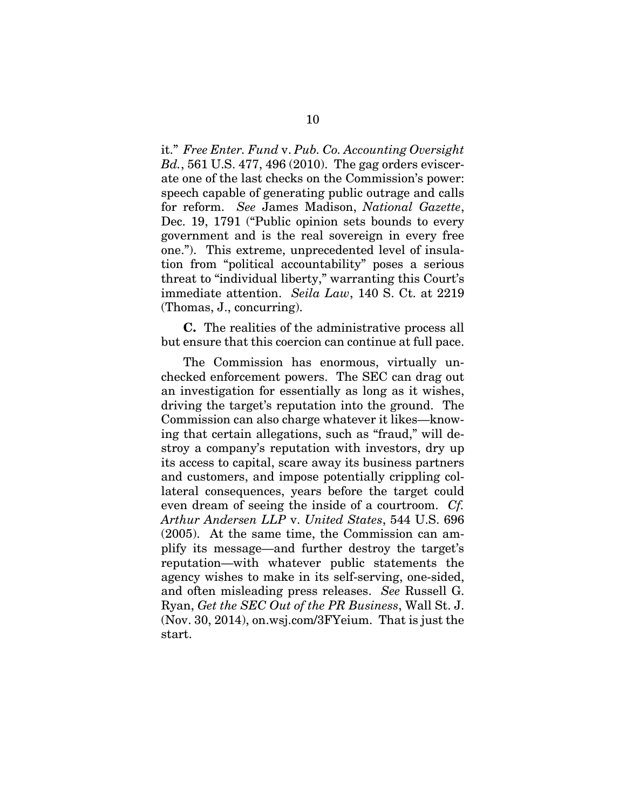it." *Free Enter. Fund* v. *Pub. Co. Accounting Oversight Bd.*, 561 U.S. 477, 496 (2010). The gag orders eviscerate one of the last checks on the Commission's power: speech capable of generating public outrage and calls for reform. *See* James Madison, *National Gazette*, Dec. 19, 1791 ("Public opinion sets bounds to every government and is the real sovereign in every free one."). This extreme, unprecedented level of insulation from "political accountability" poses a serious threat to "individual liberty," warranting this Court's immediate attention. *Seila Law*, 140 S. Ct. at 2219 (Thomas, J., concurring).

**C.** The realities of the administrative process all but ensure that this coercion can continue at full pace.

The Commission has enormous, virtually unchecked enforcement powers. The SEC can drag out an investigation for essentially as long as it wishes, driving the target's reputation into the ground. The Commission can also charge whatever it likes—knowing that certain allegations, such as "fraud," will destroy a company's reputation with investors, dry up its access to capital, scare away its business partners and customers, and impose potentially crippling collateral consequences, years before the target could even dream of seeing the inside of a courtroom. *Cf. Arthur Andersen LLP* v. *United States*, 544 U.S. 696 (2005). At the same time, the Commission can amplify its message—and further destroy the target's reputation—with whatever public statements the agency wishes to make in its self-serving, one-sided, and often misleading press releases. *See* Russell G. Ryan, *Get the SEC Out of the PR Business*, Wall St. J. (Nov. 30, 2014), on.wsj.com/3FYeium. That is just the start.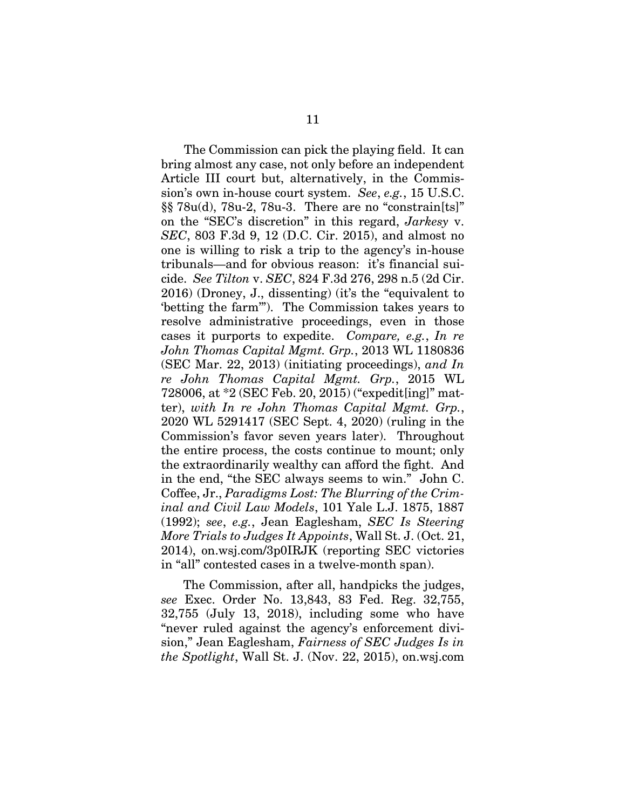The Commission can pick the playing field. It can bring almost any case, not only before an independent Article III court but, alternatively, in the Commission's own in-house court system. *See*, *e.g.*, 15 U.S.C. §§ 78u(d), 78u-2, 78u-3. There are no "constrain[ts]" on the "SEC's discretion" in this regard, *Jarkesy* v. *SEC*, 803 F.3d 9, 12 (D.C. Cir. 2015), and almost no one is willing to risk a trip to the agency's in-house tribunals—and for obvious reason: it's financial suicide. *See Tilton* v. *SEC*, 824 F.3d 276, 298 n.5 (2d Cir. 2016) (Droney, J., dissenting) (it's the "equivalent to 'betting the farm'"). The Commission takes years to resolve administrative proceedings, even in those cases it purports to expedite. *Compare, e.g.*, *In re John Thomas Capital Mgmt. Grp.*, 2013 WL 1180836 (SEC Mar. 22, 2013) (initiating proceedings), *and In re John Thomas Capital Mgmt. Grp.*, 2015 WL 728006, at \*2 (SEC Feb. 20, 2015) ("expedit[ing]" matter), *with In re John Thomas Capital Mgmt. Grp.*, 2020 WL 5291417 (SEC Sept. 4, 2020) (ruling in the Commission's favor seven years later). Throughout the entire process, the costs continue to mount; only the extraordinarily wealthy can afford the fight. And in the end, "the SEC always seems to win." John C. Coffee, Jr., *Paradigms Lost: The Blurring of the Criminal and Civil Law Models*, 101 Yale L.J. 1875, 1887 (1992); *see*, *e.g.*, Jean Eaglesham, *SEC Is Steering More Trials to Judges It Appoints*, Wall St. J. (Oct. 21, 2014), on.wsj.com/3p0IRJK (reporting SEC victories in "all" contested cases in a twelve-month span).

The Commission, after all, handpicks the judges, *see* Exec. Order No. 13,843, 83 Fed. Reg. 32,755, 32,755 (July 13, 2018), including some who have "never ruled against the agency's enforcement division," Jean Eaglesham, *Fairness of SEC Judges Is in the Spotlight*, Wall St. J. (Nov. 22, 2015), on.wsj.com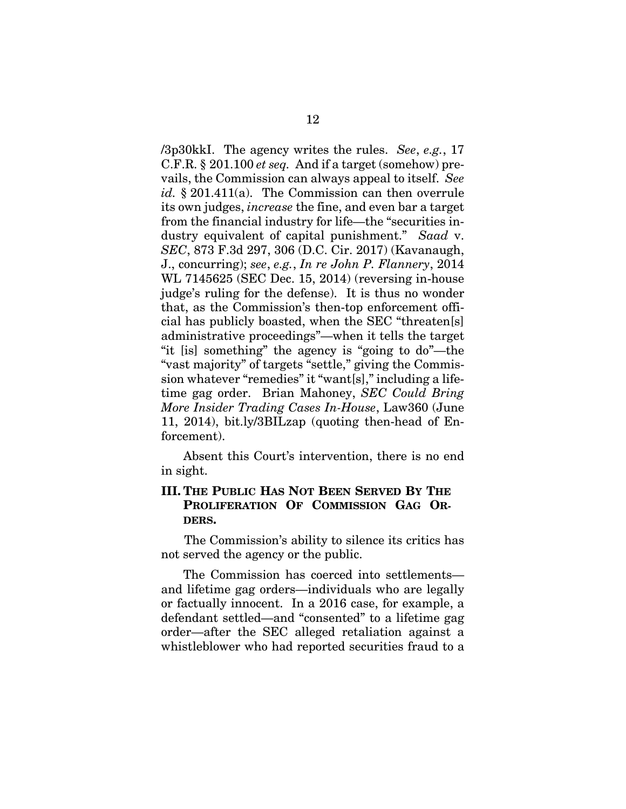/3p30kkI. The agency writes the rules. *See*, *e.g.*, 17 C.F.R. § 201.100 *et seq.* And if a target (somehow) prevails, the Commission can always appeal to itself. *See id.* § 201.411(a). The Commission can then overrule its own judges, *increase* the fine, and even bar a target from the financial industry for life—the "securities industry equivalent of capital punishment." *Saad* v. *SEC*, 873 F.3d 297, 306 (D.C. Cir. 2017) (Kavanaugh, J., concurring); *see*, *e.g.*, *In re John P. Flannery*, 2014 WL 7145625 (SEC Dec. 15, 2014) (reversing in-house judge's ruling for the defense). It is thus no wonder that, as the Commission's then-top enforcement official has publicly boasted, when the SEC "threaten[s] administrative proceedings"—when it tells the target "it [is] something" the agency is "going to do"—the "vast majority" of targets "settle," giving the Commission whatever "remedies" it "want[s]," including a lifetime gag order. Brian Mahoney, *SEC Could Bring More Insider Trading Cases In-House*, Law360 (June 11, 2014), bit.ly/3BILzap (quoting then-head of Enforcement).

Absent this Court's intervention, there is no end in sight.

### **III. THE PUBLIC HAS NOT BEEN SERVED BY THE PROLIFERATION OF COMMISSION GAG OR-DERS.**

The Commission's ability to silence its critics has not served the agency or the public.

The Commission has coerced into settlements and lifetime gag orders—individuals who are legally or factually innocent. In a 2016 case, for example, a defendant settled—and "consented" to a lifetime gag order—after the SEC alleged retaliation against a whistleblower who had reported securities fraud to a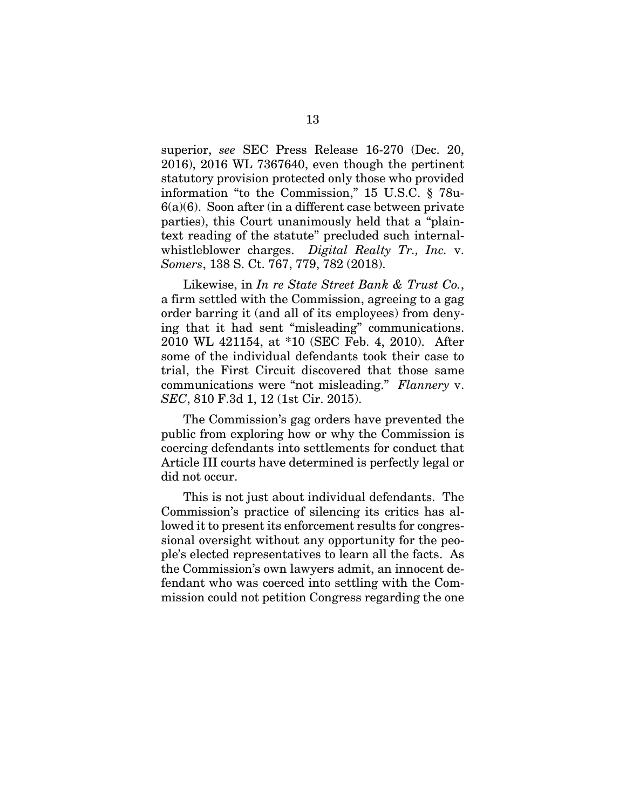superior, *see* SEC Press Release 16-270 (Dec. 20, 2016), 2016 WL 7367640, even though the pertinent statutory provision protected only those who provided information "to the Commission," 15 U.S.C. § 78u-6(a)(6). Soon after (in a different case between private parties), this Court unanimously held that a "plaintext reading of the statute" precluded such internalwhistleblower charges. *Digital Realty Tr., Inc.* v. *Somers*, 138 S. Ct. 767, 779, 782 (2018).

Likewise, in *In re State Street Bank & Trust Co.*, a firm settled with the Commission, agreeing to a gag order barring it (and all of its employees) from denying that it had sent "misleading" communications. 2010 WL 421154, at \*10 (SEC Feb. 4, 2010). After some of the individual defendants took their case to trial, the First Circuit discovered that those same communications were "not misleading." *Flannery* v. *SEC*, 810 F.3d 1, 12 (1st Cir. 2015).

The Commission's gag orders have prevented the public from exploring how or why the Commission is coercing defendants into settlements for conduct that Article III courts have determined is perfectly legal or did not occur.

This is not just about individual defendants. The Commission's practice of silencing its critics has allowed it to present its enforcement results for congressional oversight without any opportunity for the people's elected representatives to learn all the facts. As the Commission's own lawyers admit, an innocent defendant who was coerced into settling with the Commission could not petition Congress regarding the one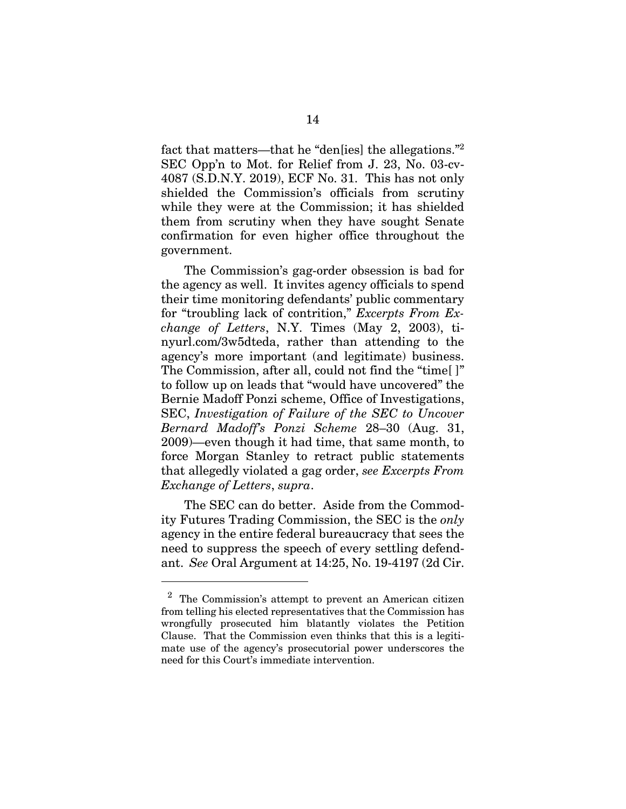fact that matters—that he "den[ies] the allegations."2 SEC Opp'n to Mot. for Relief from J. 23, No. 03-cv-4087 (S.D.N.Y. 2019), ECF No. 31. This has not only shielded the Commission's officials from scrutiny while they were at the Commission; it has shielded them from scrutiny when they have sought Senate confirmation for even higher office throughout the government.

The Commission's gag-order obsession is bad for the agency as well. It invites agency officials to spend their time monitoring defendants' public commentary for "troubling lack of contrition," *Excerpts From Exchange of Letters*, N.Y. Times (May 2, 2003), tinyurl.com/3w5dteda, rather than attending to the agency's more important (and legitimate) business. The Commission, after all, could not find the "time[ ]" to follow up on leads that "would have uncovered" the Bernie Madoff Ponzi scheme, Office of Investigations, SEC, *Investigation of Failure of the SEC to Uncover Bernard Madoff's Ponzi Scheme* 28–30 (Aug. 31, 2009)—even though it had time, that same month, to force Morgan Stanley to retract public statements that allegedly violated a gag order, *see Excerpts From Exchange of Letters*, *supra*.

The SEC can do better. Aside from the Commodity Futures Trading Commission, the SEC is the *only* agency in the entire federal bureaucracy that sees the need to suppress the speech of every settling defendant. *See* Oral Argument at 14:25, No. 19-4197 (2d Cir.

l

 $2$  The Commission's attempt to prevent an American citizen from telling his elected representatives that the Commission has wrongfully prosecuted him blatantly violates the Petition Clause. That the Commission even thinks that this is a legitimate use of the agency's prosecutorial power underscores the need for this Court's immediate intervention.